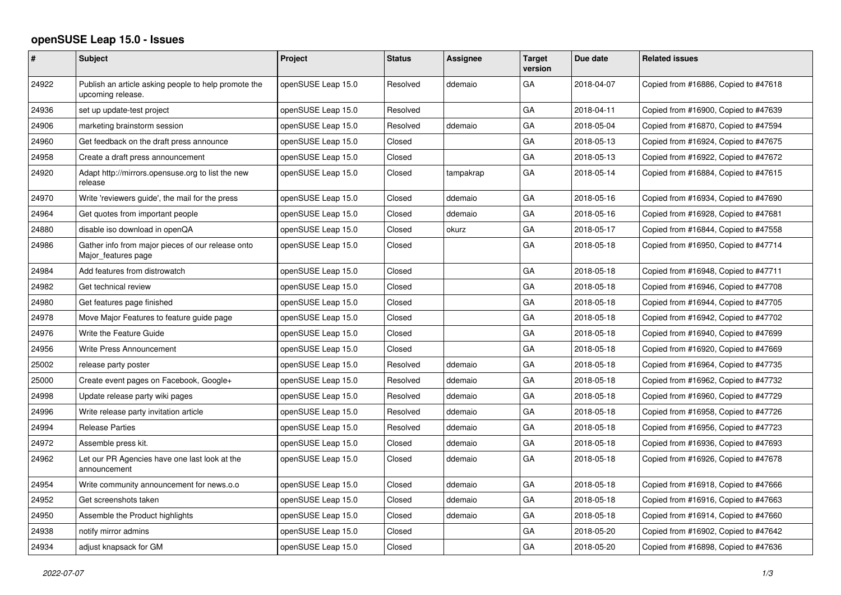## **openSUSE Leap 15.0 - Issues**

| #     | Subject                                                                   | Project            | <b>Status</b> | <b>Assignee</b> | <b>Target</b><br>version | Due date   | <b>Related issues</b>                |
|-------|---------------------------------------------------------------------------|--------------------|---------------|-----------------|--------------------------|------------|--------------------------------------|
| 24922 | Publish an article asking people to help promote the<br>upcoming release. | openSUSE Leap 15.0 | Resolved      | ddemaio         | GA                       | 2018-04-07 | Copied from #16886, Copied to #47618 |
| 24936 | set up update-test project                                                | openSUSE Leap 15.0 | Resolved      |                 | GA                       | 2018-04-11 | Copied from #16900, Copied to #47639 |
| 24906 | marketing brainstorm session                                              | openSUSE Leap 15.0 | Resolved      | ddemaio         | GA                       | 2018-05-04 | Copied from #16870, Copied to #47594 |
| 24960 | Get feedback on the draft press announce                                  | openSUSE Leap 15.0 | Closed        |                 | GA                       | 2018-05-13 | Copied from #16924, Copied to #47675 |
| 24958 | Create a draft press announcement                                         | openSUSE Leap 15.0 | Closed        |                 | GA                       | 2018-05-13 | Copied from #16922, Copied to #47672 |
| 24920 | Adapt http://mirrors.opensuse.org to list the new<br>release              | openSUSE Leap 15.0 | Closed        | tampakrap       | GA                       | 2018-05-14 | Copied from #16884, Copied to #47615 |
| 24970 | Write 'reviewers guide', the mail for the press                           | openSUSE Leap 15.0 | Closed        | ddemaio         | GA                       | 2018-05-16 | Copied from #16934, Copied to #47690 |
| 24964 | Get quotes from important people                                          | openSUSE Leap 15.0 | Closed        | ddemaio         | GA                       | 2018-05-16 | Copied from #16928, Copied to #47681 |
| 24880 | disable iso download in openQA                                            | openSUSE Leap 15.0 | Closed        | okurz           | GA                       | 2018-05-17 | Copied from #16844, Copied to #47558 |
| 24986 | Gather info from major pieces of our release onto<br>Major_features page  | openSUSE Leap 15.0 | Closed        |                 | GA                       | 2018-05-18 | Copied from #16950, Copied to #47714 |
| 24984 | Add features from distrowatch                                             | openSUSE Leap 15.0 | Closed        |                 | GA                       | 2018-05-18 | Copied from #16948, Copied to #47711 |
| 24982 | Get technical review                                                      | openSUSE Leap 15.0 | Closed        |                 | GA                       | 2018-05-18 | Copied from #16946, Copied to #47708 |
| 24980 | Get features page finished                                                | openSUSE Leap 15.0 | Closed        |                 | GA                       | 2018-05-18 | Copied from #16944, Copied to #47705 |
| 24978 | Move Major Features to feature guide page                                 | openSUSE Leap 15.0 | Closed        |                 | GA                       | 2018-05-18 | Copied from #16942, Copied to #47702 |
| 24976 | Write the Feature Guide                                                   | openSUSE Leap 15.0 | Closed        |                 | GA                       | 2018-05-18 | Copied from #16940, Copied to #47699 |
| 24956 | Write Press Announcement                                                  | openSUSE Leap 15.0 | Closed        |                 | GA                       | 2018-05-18 | Copied from #16920, Copied to #47669 |
| 25002 | release party poster                                                      | openSUSE Leap 15.0 | Resolved      | ddemaio         | GA                       | 2018-05-18 | Copied from #16964, Copied to #47735 |
| 25000 | Create event pages on Facebook, Google+                                   | openSUSE Leap 15.0 | Resolved      | ddemaio         | GA                       | 2018-05-18 | Copied from #16962, Copied to #47732 |
| 24998 | Update release party wiki pages                                           | openSUSE Leap 15.0 | Resolved      | ddemaio         | GA                       | 2018-05-18 | Copied from #16960, Copied to #47729 |
| 24996 | Write release party invitation article                                    | openSUSE Leap 15.0 | Resolved      | ddemaio         | GA                       | 2018-05-18 | Copied from #16958, Copied to #47726 |
| 24994 | <b>Release Parties</b>                                                    | openSUSE Leap 15.0 | Resolved      | ddemaio         | GA                       | 2018-05-18 | Copied from #16956, Copied to #47723 |
| 24972 | Assemble press kit.                                                       | openSUSE Leap 15.0 | Closed        | ddemaio         | GA                       | 2018-05-18 | Copied from #16936, Copied to #47693 |
| 24962 | Let our PR Agencies have one last look at the<br>announcement             | openSUSE Leap 15.0 | Closed        | ddemaio         | GA                       | 2018-05-18 | Copied from #16926, Copied to #47678 |
| 24954 | Write community announcement for news.o.o                                 | openSUSE Leap 15.0 | Closed        | ddemaio         | GA                       | 2018-05-18 | Copied from #16918, Copied to #47666 |
| 24952 | Get screenshots taken                                                     | openSUSE Leap 15.0 | Closed        | ddemaio         | GA                       | 2018-05-18 | Copied from #16916, Copied to #47663 |
| 24950 | Assemble the Product highlights                                           | openSUSE Leap 15.0 | Closed        | ddemaio         | GA                       | 2018-05-18 | Copied from #16914, Copied to #47660 |
| 24938 | notify mirror admins                                                      | openSUSE Leap 15.0 | Closed        |                 | GA                       | 2018-05-20 | Copied from #16902, Copied to #47642 |
| 24934 | adjust knapsack for GM                                                    | openSUSE Leap 15.0 | Closed        |                 | GA                       | 2018-05-20 | Copied from #16898, Copied to #47636 |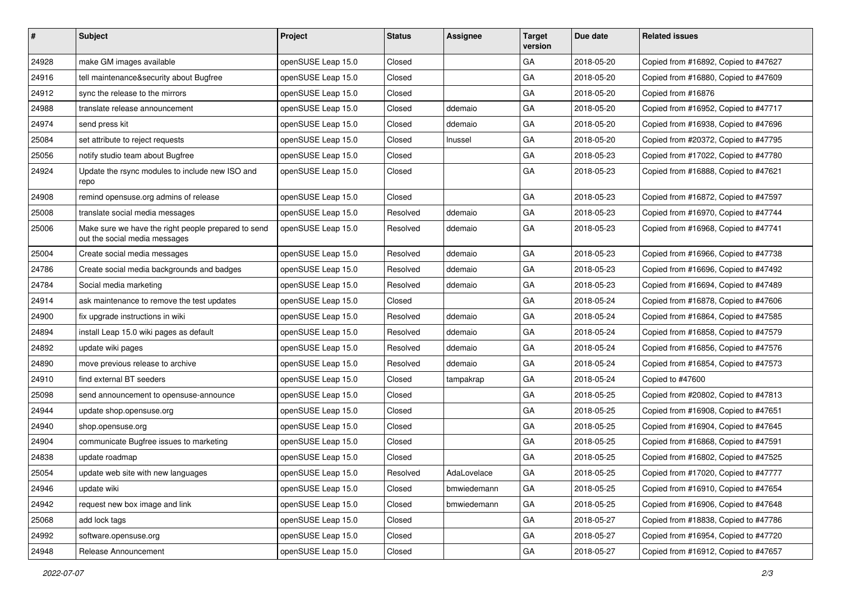| #     | <b>Subject</b>                                                                       | Project            | <b>Status</b> | <b>Assignee</b> | <b>Target</b><br>version | Due date   | <b>Related issues</b>                |
|-------|--------------------------------------------------------------------------------------|--------------------|---------------|-----------------|--------------------------|------------|--------------------------------------|
| 24928 | make GM images available                                                             | openSUSE Leap 15.0 | Closed        |                 | GA                       | 2018-05-20 | Copied from #16892, Copied to #47627 |
| 24916 | tell maintenance&security about Bugfree                                              | openSUSE Leap 15.0 | Closed        |                 | GA                       | 2018-05-20 | Copied from #16880, Copied to #47609 |
| 24912 | sync the release to the mirrors                                                      | openSUSE Leap 15.0 | Closed        |                 | GA                       | 2018-05-20 | Copied from #16876                   |
| 24988 | translate release announcement                                                       | openSUSE Leap 15.0 | Closed        | ddemaio         | GA                       | 2018-05-20 | Copied from #16952, Copied to #47717 |
| 24974 | send press kit                                                                       | openSUSE Leap 15.0 | Closed        | ddemaio         | GA                       | 2018-05-20 | Copied from #16938, Copied to #47696 |
| 25084 | set attribute to reject requests                                                     | openSUSE Leap 15.0 | Closed        | Inussel         | GA                       | 2018-05-20 | Copied from #20372, Copied to #47795 |
| 25056 | notify studio team about Bugfree                                                     | openSUSE Leap 15.0 | Closed        |                 | GA                       | 2018-05-23 | Copied from #17022, Copied to #47780 |
| 24924 | Update the rsync modules to include new ISO and<br>repo                              | openSUSE Leap 15.0 | Closed        |                 | GA                       | 2018-05-23 | Copied from #16888, Copied to #47621 |
| 24908 | remind opensuse.org admins of release                                                | openSUSE Leap 15.0 | Closed        |                 | GA                       | 2018-05-23 | Copied from #16872, Copied to #47597 |
| 25008 | translate social media messages                                                      | openSUSE Leap 15.0 | Resolved      | ddemaio         | GA                       | 2018-05-23 | Copied from #16970, Copied to #47744 |
| 25006 | Make sure we have the right people prepared to send<br>out the social media messages | openSUSE Leap 15.0 | Resolved      | ddemaio         | GA                       | 2018-05-23 | Copied from #16968, Copied to #47741 |
| 25004 | Create social media messages                                                         | openSUSE Leap 15.0 | Resolved      | ddemaio         | GA                       | 2018-05-23 | Copied from #16966, Copied to #47738 |
| 24786 | Create social media backgrounds and badges                                           | openSUSE Leap 15.0 | Resolved      | ddemaio         | GA                       | 2018-05-23 | Copied from #16696, Copied to #47492 |
| 24784 | Social media marketing                                                               | openSUSE Leap 15.0 | Resolved      | ddemaio         | GA                       | 2018-05-23 | Copied from #16694, Copied to #47489 |
| 24914 | ask maintenance to remove the test updates                                           | openSUSE Leap 15.0 | Closed        |                 | GA                       | 2018-05-24 | Copied from #16878, Copied to #47606 |
| 24900 | fix upgrade instructions in wiki                                                     | openSUSE Leap 15.0 | Resolved      | ddemaio         | GA                       | 2018-05-24 | Copied from #16864, Copied to #47585 |
| 24894 | install Leap 15.0 wiki pages as default                                              | openSUSE Leap 15.0 | Resolved      | ddemaio         | GA                       | 2018-05-24 | Copied from #16858, Copied to #47579 |
| 24892 | update wiki pages                                                                    | openSUSE Leap 15.0 | Resolved      | ddemaio         | GA                       | 2018-05-24 | Copied from #16856, Copied to #47576 |
| 24890 | move previous release to archive                                                     | openSUSE Leap 15.0 | Resolved      | ddemaio         | GA                       | 2018-05-24 | Copied from #16854, Copied to #47573 |
| 24910 | find external BT seeders                                                             | openSUSE Leap 15.0 | Closed        | tampakrap       | GA                       | 2018-05-24 | Copied to #47600                     |
| 25098 | send announcement to opensuse-announce                                               | openSUSE Leap 15.0 | Closed        |                 | GA                       | 2018-05-25 | Copied from #20802, Copied to #47813 |
| 24944 | update shop.opensuse.org                                                             | openSUSE Leap 15.0 | Closed        |                 | GA                       | 2018-05-25 | Copied from #16908, Copied to #47651 |
| 24940 | shop.opensuse.org                                                                    | openSUSE Leap 15.0 | Closed        |                 | GA                       | 2018-05-25 | Copied from #16904, Copied to #47645 |
| 24904 | communicate Bugfree issues to marketing                                              | openSUSE Leap 15.0 | Closed        |                 | GA                       | 2018-05-25 | Copied from #16868, Copied to #47591 |
| 24838 | update roadmap                                                                       | openSUSE Leap 15.0 | Closed        |                 | GA                       | 2018-05-25 | Copied from #16802, Copied to #47525 |
| 25054 | update web site with new languages                                                   | openSUSE Leap 15.0 | Resolved      | AdaLovelace     | GA                       | 2018-05-25 | Copied from #17020, Copied to #47777 |
| 24946 | update wiki                                                                          | openSUSE Leap 15.0 | Closed        | bmwiedemann     | GA                       | 2018-05-25 | Copied from #16910, Copied to #47654 |
| 24942 | request new box image and link                                                       | openSUSE Leap 15.0 | Closed        | bmwiedemann     | GA                       | 2018-05-25 | Copied from #16906, Copied to #47648 |
| 25068 | add lock tags                                                                        | openSUSE Leap 15.0 | Closed        |                 | GA                       | 2018-05-27 | Copied from #18838, Copied to #47786 |
| 24992 | software.opensuse.org                                                                | openSUSE Leap 15.0 | Closed        |                 | GA                       | 2018-05-27 | Copied from #16954, Copied to #47720 |
| 24948 | Release Announcement                                                                 | openSUSE Leap 15.0 | Closed        |                 | GA                       | 2018-05-27 | Copied from #16912, Copied to #47657 |